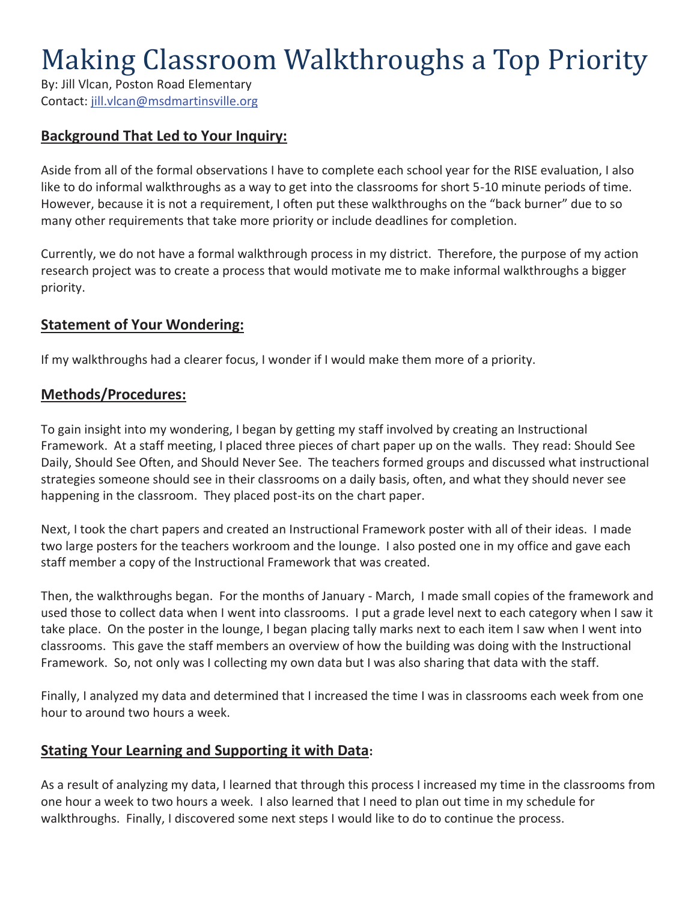# Making Classroom Walkthroughs a Top Priority

By: Jill Vlcan, Poston Road Elementary Contact: jill.vlcan@msdmartinsville.org

# **Background That Led to Your Inquiry:**

Aside from all of the formal observations I have to complete each school year for the RISE evaluation, I also like to do informal walkthroughs as a way to get into the classrooms for short 5-10 minute periods of time. However, because it is not a requirement, I often put these walkthroughs on the "back burner" due to so many other requirements that take more priority or include deadlines for completion.

Currently, we do not have a formal walkthrough process in my district. Therefore, the purpose of my action research project was to create a process that would motivate me to make informal walkthroughs a bigger priority.

#### **Statement of Your Wondering:**

If my walkthroughs had a clearer focus, I wonder if I would make them more of a priority.

#### **Methods/Procedures:**

To gain insight into my wondering, I began by getting my staff involved by creating an Instructional Framework. At a staff meeting, I placed three pieces of chart paper up on the walls. They read: Should See Daily, Should See Often, and Should Never See. The teachers formed groups and discussed what instructional strategies someone should see in their classrooms on a daily basis, often, and what they should never see happening in the classroom. They placed post-its on the chart paper.

Next, I took the chart papers and created an Instructional Framework poster with all of their ideas. I made two large posters for the teachers workroom and the lounge. I also posted one in my office and gave each staff member a copy of the Instructional Framework that was created.

Then, the walkthroughs began. For the months of January - March, I made small copies of the framework and used those to collect data when I went into classrooms. I put a grade level next to each category when I saw it take place. On the poster in the lounge, I began placing tally marks next to each item I saw when I went into classrooms. This gave the staff members an overview of how the building was doing with the Instructional Framework. So, not only was I collecting my own data but I was also sharing that data with the staff.

Finally, I analyzed my data and determined that I increased the time I was in classrooms each week from one hour to around two hours a week.

# **Stating Your Learning and Supporting it with Data:**

As a result of analyzing my data, I learned that through this process I increased my time in the classrooms from one hour a week to two hours a week. I also learned that I need to plan out time in my schedule for walkthroughs. Finally, I discovered some next steps I would like to do to continue the process.